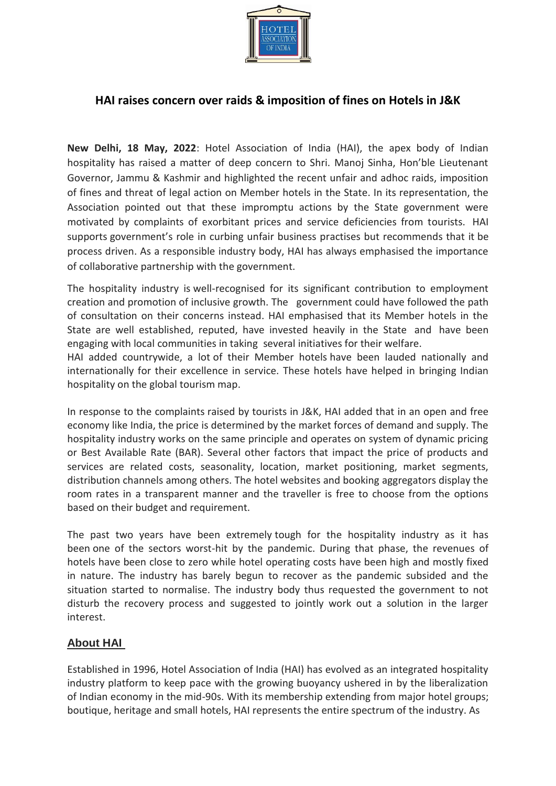

## **HAI raises concern over raids & imposition of fines on Hotels in J&K**

**New Delhi, 18 May, 2022**: Hotel Association of India (HAI), the apex body of Indian hospitality has raised a matter of deep concern to Shri. Manoj Sinha, Hon'ble Lieutenant Governor, Jammu & Kashmir and highlighted the recent unfair and adhoc raids, imposition of fines and threat of legal action on Member hotels in the State. In its representation, the Association pointed out that these impromptu actions by the State government were motivated by complaints of exorbitant prices and service deficiencies from tourists. HAI supports government's role in curbing unfair business practises but recommends that it be process driven. As a responsible industry body, HAI has always emphasised the importance of collaborative partnership with the government.

The hospitality industry is well-recognised for its significant contribution to employment creation and promotion of inclusive growth. The government could have followed the path of consultation on their concerns instead. HAI emphasised that its Member hotels in the State are well established, reputed, have invested heavily in the State and have been engaging with local communities in taking several initiatives for their welfare.

HAI added countrywide, a lot of their Member hotels have been lauded nationally and internationally for their excellence in service. These hotels have helped in bringing Indian hospitality on the global tourism map.

In response to the complaints raised by tourists in J&K, HAI added that in an open and free economy like India, the price is determined by the market forces of demand and supply. The hospitality industry works on the same principle and operates on system of dynamic pricing or Best Available Rate (BAR). Several other factors that impact the price of products and services are related costs, seasonality, location, market positioning, market segments, distribution channels among others. The hotel websites and booking aggregators display the room rates in a transparent manner and the traveller is free to choose from the options based on their budget and requirement.

The past two years have been extremely tough for the hospitality industry as it has been one of the sectors worst-hit by the pandemic. During that phase, the revenues of hotels have been close to zero while hotel operating costs have been high and mostly fixed in nature. The industry has barely begun to recover as the pandemic subsided and the situation started to normalise. The industry body thus requested the government to not disturb the recovery process and suggested to jointly work out a solution in the larger interest.

## **About HAI**

Established in 1996, Hotel Association of India (HAI) has evolved as an integrated hospitality industry platform to keep pace with the growing buoyancy ushered in by the liberalization of Indian economy in the mid-90s. With its membership extending from major hotel groups; boutique, heritage and small hotels, HAI represents the entire spectrum of the industry. As